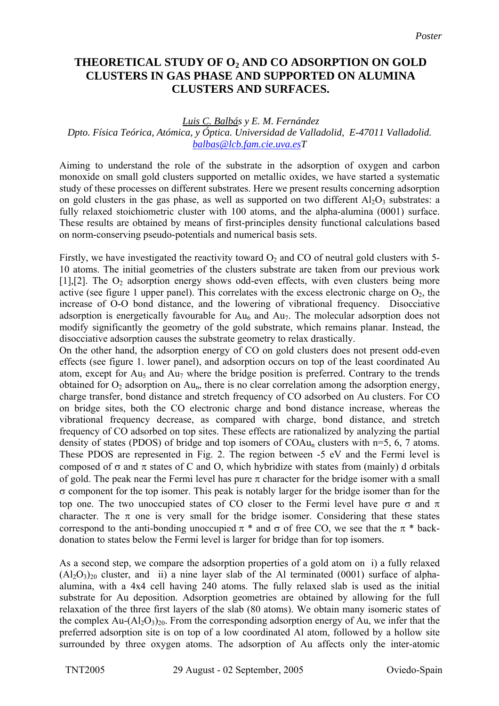## **THEORETICAL STUDY OF O2 AND CO ADSORPTION ON GOLD CLUSTERS IN GAS PHASE AND SUPPORTED ON ALUMINA CLUSTERS AND SURFACES.**

## *Luis C. Balbás y E. M. Fernández Dpto. Física Teórica, Atómica, y Óptica. Universidad de Valladolid, E-47011 Valladolid. [balbas@lcb.fam.cie.uva.esT](mailto:balbas@lcb.fam.cie.uva.es)*

Aiming to understand the role of the substrate in the adsorption of oxygen and carbon monoxide on small gold clusters supported on metallic oxides, we have started a systematic study of these processes on different substrates. Here we present results concerning adsorption on gold clusters in the gas phase, as well as supported on two different  $A_1O_3$  substrates: a fully relaxed stoichiometric cluster with 100 atoms, and the alpha-alumina (0001) surface. These results are obtained by means of first-principles density functional calculations based on norm-conserving pseudo-potentials and numerical basis sets.

Firstly, we have investigated the reactivity toward  $O_2$  and CO of neutral gold clusters with 5-10 atoms. The initial geometries of the clusters substrate are taken from our previous work [1], [2]. The  $O<sub>2</sub>$  adsorption energy shows odd-even effects, with even clusters being more active (see figure 1 upper panel). This correlates with the excess electronic charge on  $O_2$ , the increase of O-O bond distance, and the lowering of vibrational frequency. Disocciative adsorption is energetically favourable for  $Au<sub>6</sub>$  and  $Au<sub>7</sub>$ . The molecular adsorption does not modify significantly the geometry of the gold substrate, which remains planar. Instead, the disocciative adsorption causes the substrate geometry to relax drastically.

On the other hand, the adsorption energy of CO on gold clusters does not present odd-even effects (see figure 1. lower panel), and adsorption occurs on top of the least coordinated Au atom, except for Au<sub>5</sub> and Au<sub>7</sub> where the bridge position is preferred. Contrary to the trends obtained for  $O_2$  adsorption on  $Au_n$ , there is no clear correlation among the adsorption energy, charge transfer, bond distance and stretch frequency of CO adsorbed on Au clusters. For CO on bridge sites, both the CO electronic charge and bond distance increase, whereas the vibrational frequency decrease, as compared with charge, bond distance, and stretch frequency of CO adsorbed on top sites. These effects are rationalized by analyzing the partial density of states (PDOS) of bridge and top isomers of  $COAu<sub>n</sub>$  clusters with n=5, 6, 7 atoms. These PDOS are represented in Fig. 2. The region between -5 eV and the Fermi level is composed of  $σ$  and  $π$  states of C and O, which hybridize with states from (mainly) d orbitals of gold. The peak near the Fermi level has pure  $\pi$  character for the bridge isomer with a small σ component for the top isomer. This peak is notably larger for the bridge isomer than for the top one. The two unoccupied states of CO closer to the Fermi level have pure  $\sigma$  and  $\pi$ character. The  $\pi$  one is very small for the bridge isomer. Considering that these states correspond to the anti-bonding unoccupied  $\pi$  \* and  $\sigma$  of free CO, we see that the  $\pi$  \* backdonation to states below the Fermi level is larger for bridge than for top isomers.

As a second step, we compare the adsorption properties of a gold atom on i) a fully relaxed  $(A<sub>2</sub>O<sub>3</sub>)<sub>20</sub>$  cluster, and ii) a nine layer slab of the Al terminated (0001) surface of alphaalumina, with a 4x4 cell having 240 atoms. The fully relaxed slab is used as the initial substrate for Au deposition. Adsorption geometries are obtained by allowing for the full relaxation of the three first layers of the slab (80 atoms). We obtain many isomeric states of the complex  $Au-(A1_2O_3)_{20}$ . From the corresponding adsorption energy of Au, we infer that the preferred adsorption site is on top of a low coordinated Al atom, followed by a hollow site surrounded by three oxygen atoms. The adsorption of Au affects only the inter-atomic